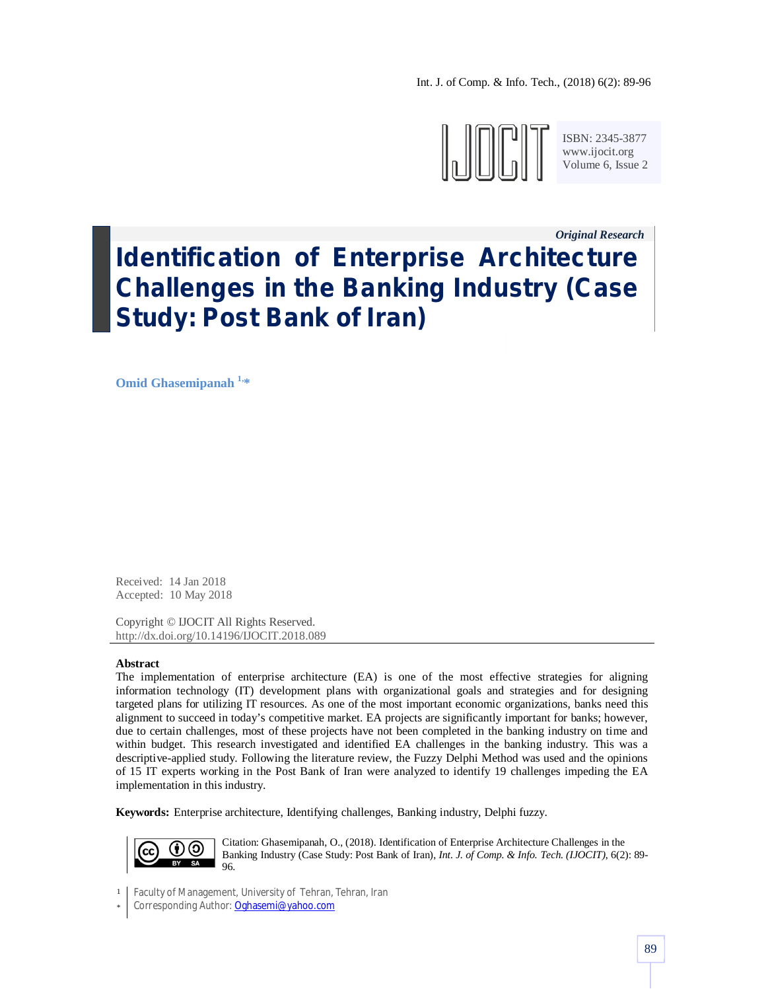Int. J. of Comp. & Info. Tech., (2018) 6(2): 89-96



ISBN: 2345-3877 www.ijocit.org Volume 6, Issue 2

*Original Research\_\_*

# **Identification of Enterprise Architecture Challenges in the Banking Industry (Case Study: Post Bank of Iran)**

**Omid Ghasemipanah 1, \***

Received: 14 Jan 2018 Accepted: 10 May 2018

Copyright © IJOCIT All Rights Reserved. http://dx.doi.org/10.14196/IJOCIT.2018.089

#### **Abstract**

The implementation of enterprise architecture (EA) is one of the most effective strategies for aligning information technology (IT) development plans with organizational goals and strategies and for designing targeted plans for utilizing IT resources. As one of the most important economic organizations, banks need this alignment to succeed in today's competitive market. EA projects are significantly important for banks; however, due to certain challenges, most of these projects have not been completed in the banking industry on time and within budget. This research investigated and identified EA challenges in the banking industry. This was a descriptive-applied study. Following the literature review, the Fuzzy Delphi Method was used and the opinions of 15 IT experts working in the Post Bank of Iran were analyzed to identify 19 challenges impeding the EA implementation in this industry.

**Keywords:** Enterprise architecture, Identifying challenges, Banking industry, Delphi fuzzy.



Citation: Ghasemipanah, O., (2018). Identification of Enterprise Architecture Challenges in the Banking Industry (Case Study: Post Bank of Iran), *Int. J. of Comp. & Info. Tech. (IJOCIT)*, 6(2): 89- 96.

1 Faculty of Management, University of Tehran, Tehran, Iran

<sup>\*</sup> Corresponding Author: Oghasemi@yahoo.com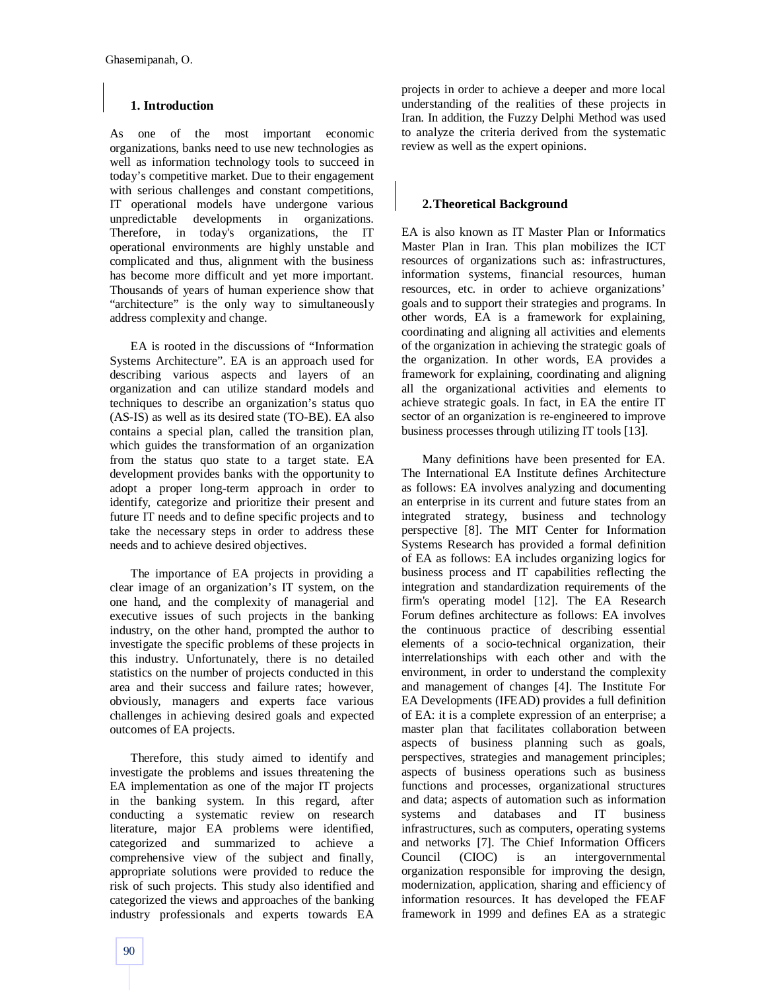# **1. Introduction**

As one of the most important economic organizations, banks need to use new technologies as well as information technology tools to succeed in today's competitive market. Due to their engagement with serious challenges and constant competitions, IT operational models have undergone various unpredictable developments in organizations. Therefore, in today's organizations, the IT operational environments are highly unstable and complicated and thus, alignment with the business has become more difficult and yet more important. Thousands of years of human experience show that "architecture" is the only way to simultaneously address complexity and change.

EA is rooted in the discussions of "Information Systems Architecture". EA is an approach used for describing various aspects and layers of an organization and can utilize standard models and techniques to describe an organization's status quo (AS-IS) as well as its desired state (TO-BE). EA also contains a special plan, called the transition plan, which guides the transformation of an organization from the status quo state to a target state. EA development provides banks with the opportunity to adopt a proper long-term approach in order to identify, categorize and prioritize their present and future IT needs and to define specific projects and to take the necessary steps in order to address these needs and to achieve desired objectives.

The importance of EA projects in providing a clear image of an organization's IT system, on the one hand, and the complexity of managerial and executive issues of such projects in the banking industry, on the other hand, prompted the author to investigate the specific problems of these projects in this industry. Unfortunately, there is no detailed statistics on the number of projects conducted in this area and their success and failure rates; however, obviously, managers and experts face various challenges in achieving desired goals and expected outcomes of EA projects.

Therefore, this study aimed to identify and investigate the problems and issues threatening the EA implementation as one of the major IT projects in the banking system. In this regard, after conducting a systematic review on research literature, major EA problems were identified, categorized and summarized to achieve a comprehensive view of the subject and finally, appropriate solutions were provided to reduce the risk of such projects. This study also identified and categorized the views and approaches of the banking industry professionals and experts towards EA

projects in order to achieve a deeper and more local understanding of the realities of these projects in Iran. In addition, the Fuzzy Delphi Method was used to analyze the criteria derived from the systematic review as well as the expert opinions.

## **2.Theoretical Background**

EA is also known as IT Master Plan or Informatics Master Plan in Iran. This plan mobilizes the ICT resources of organizations such as: infrastructures, information systems, financial resources, human resources, etc. in order to achieve organizations' goals and to support their strategies and programs. In other words, EA is a framework for explaining, coordinating and aligning all activities and elements of the organization in achieving the strategic goals of the organization. In other words, EA provides a framework for explaining, coordinating and aligning all the organizational activities and elements to achieve strategic goals. In fact, in EA the entire IT sector of an organization is re-engineered to improve business processes through utilizing IT tools [13].

Many definitions have been presented for EA. The International EA Institute defines Architecture as follows: EA involves analyzing and documenting an enterprise in its current and future states from an integrated strategy, business and technology perspective [8]. The MIT Center for Information Systems Research has provided a formal definition of EA as follows: EA includes organizing logics for business process and IT capabilities reflecting the integration and standardization requirements of the firm's operating model [12]. The EA Research Forum defines architecture as follows: EA involves the continuous practice of describing essential elements of a socio-technical organization, their interrelationships with each other and with the environment, in order to understand the complexity and management of changes [4]. The Institute For EA Developments (IFEAD) provides a full definition of EA: it is a complete expression of an enterprise; a master plan that facilitates collaboration between aspects of business planning such as goals, perspectives, strategies and management principles; aspects of business operations such as business functions and processes, organizational structures and data; aspects of automation such as information systems and databases and IT business infrastructures, such as computers, operating systems and networks [7]. The Chief Information Officers Council (CIOC) is an intergovernmental organization responsible for improving the design, modernization, application, sharing and efficiency of information resources. It has developed the FEAF framework in 1999 and defines EA as a strategic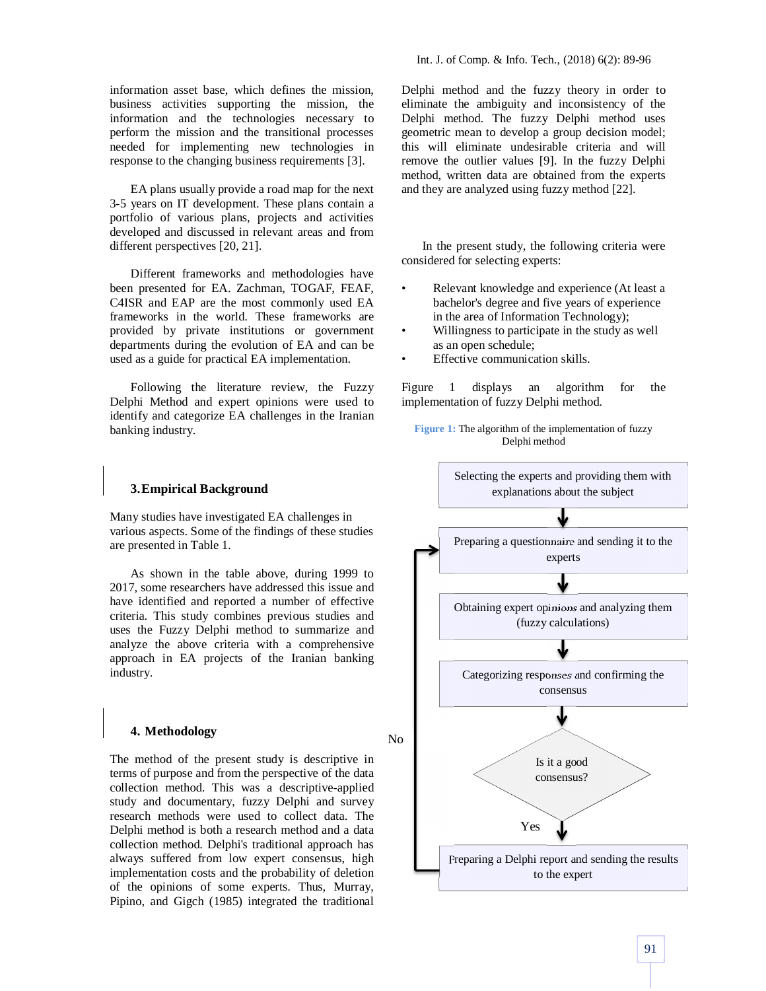information asset base, which defines the mission, business activities supporting the mission, the information and the technologies necessary to perform the mission and the transitional processes needed for implementing new technologies in response to the changing business requirements [3].

EA plans usually provide a road map for the next 3-5 years on IT development. These plans contain a portfolio of various plans, projects and activities developed and discussed in relevant areas and from different perspectives [20, 21].

Different frameworks and methodologies have been presented for EA. Zachman, TOGAF, FEAF, C4ISR and EAP are the most commonly used EA frameworks in the world. These frameworks are provided by private institutions or government departments during the evolution of EA and can be used as a guide for practical EA implementation.

Following the literature review, the Fuzzy Delphi Method and expert opinions were used to identify and categorize EA challenges in the Iranian banking industry.

## **3.Empirical Background**

Many studies have investigated EA challenges in various aspects. Some of the findings of these studies are presented in Table 1.

As shown in the table above, during 1999 to 2017, some researchers have addressed this issue and have identified and reported a number of effective criteria. This study combines previous studies and uses the Fuzzy Delphi method to summarize and analyze the above criteria with a comprehensive approach in EA projects of the Iranian banking industry.

# **4. Methodology**

The method of the present study is descriptive in terms of purpose and from the perspective of the data collection method. This was a descriptive-applied study and documentary, fuzzy Delphi and survey research methods were used to collect data. The Delphi method is both a research method and a data collection method. Delphi's traditional approach has always suffered from low expert consensus, high implementation costs and the probability of deletion of the opinions of some experts. Thus, Murray, Pipino, and Gigch (1985) integrated the traditional Delphi method and the fuzzy theory in order to eliminate the ambiguity and inconsistency of the Delphi method. The fuzzy Delphi method uses geometric mean to develop a group decision model; this will eliminate undesirable criteria and will remove the outlier values [9]. In the fuzzy Delphi method, written data are obtained from the experts and they are analyzed using fuzzy method [22].

In the present study, the following criteria were considered for selecting experts:

- Relevant knowledge and experience (At least a bachelor's degree and five years of experience in the area of Information Technology);
- Willingness to participate in the study as well as an open schedule;
- Effective communication skills.

Figure 1 displays an algorithm for the implementation of fuzzy Delphi method.

**Figure 1:** The algorithm of the implementation of fuzzy Delphi method

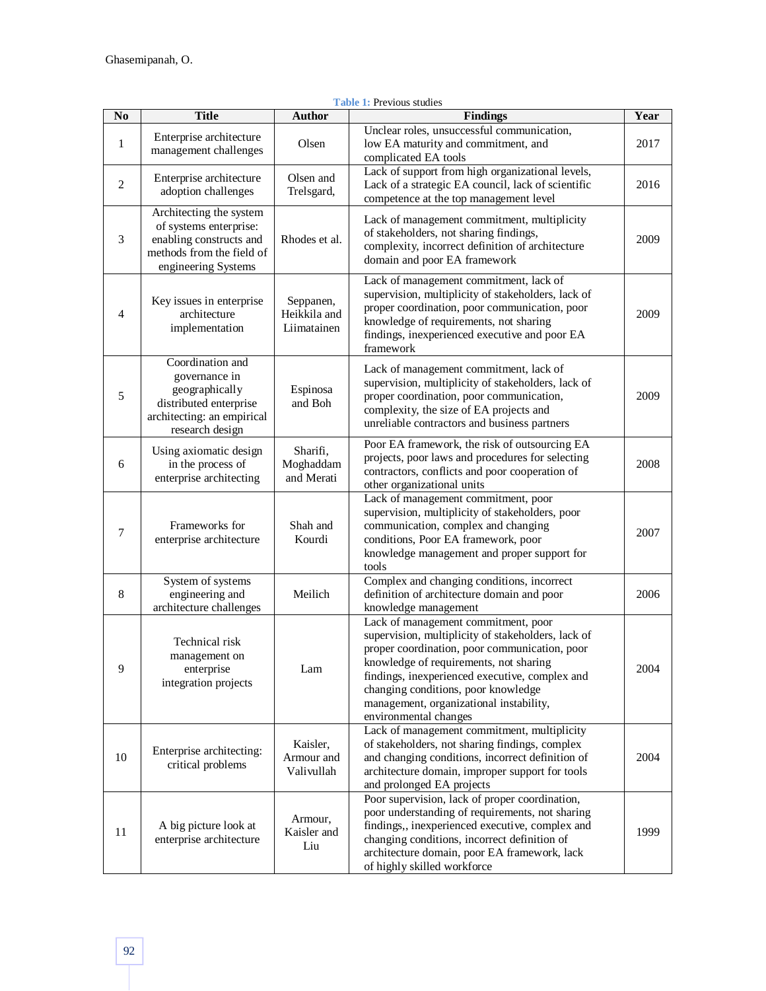| N <sub>0</sub> | <b>Title</b>                                                                                                                     | <b>Author</b>                            | <b>Table 1: Previous studies</b><br><b>Findings</b>                                                                                                                                                                                                                                                                                               | Year |
|----------------|----------------------------------------------------------------------------------------------------------------------------------|------------------------------------------|---------------------------------------------------------------------------------------------------------------------------------------------------------------------------------------------------------------------------------------------------------------------------------------------------------------------------------------------------|------|
| 1              | Enterprise architecture<br>management challenges                                                                                 | Olsen                                    | Unclear roles, unsuccessful communication,<br>low EA maturity and commitment, and<br>complicated EA tools                                                                                                                                                                                                                                         | 2017 |
| $\overline{c}$ | Enterprise architecture<br>adoption challenges                                                                                   | Olsen and<br>Trelsgard,                  | Lack of support from high organizational levels,<br>Lack of a strategic EA council, lack of scientific<br>competence at the top management level                                                                                                                                                                                                  | 2016 |
| 3              | Architecting the system<br>of systems enterprise:<br>enabling constructs and<br>methods from the field of<br>engineering Systems | Rhodes et al.                            | Lack of management commitment, multiplicity<br>of stakeholders, not sharing findings,<br>complexity, incorrect definition of architecture<br>domain and poor EA framework                                                                                                                                                                         | 2009 |
| 4              | Key issues in enterprise<br>architecture<br>implementation                                                                       | Seppanen,<br>Heikkila and<br>Liimatainen | Lack of management commitment, lack of<br>supervision, multiplicity of stakeholders, lack of<br>proper coordination, poor communication, poor<br>knowledge of requirements, not sharing<br>findings, inexperienced executive and poor EA<br>framework                                                                                             | 2009 |
| $\mathfrak s$  | Coordination and<br>governance in<br>geographically<br>distributed enterprise<br>architecting: an empirical<br>research design   | Espinosa<br>and Boh                      | Lack of management commitment, lack of<br>supervision, multiplicity of stakeholders, lack of<br>proper coordination, poor communication,<br>complexity, the size of EA projects and<br>unreliable contractors and business partners                                                                                                               | 2009 |
| 6              | Using axiomatic design<br>in the process of<br>enterprise architecting                                                           | Sharifi,<br>Moghaddam<br>and Merati      | Poor EA framework, the risk of outsourcing EA<br>projects, poor laws and procedures for selecting<br>contractors, conflicts and poor cooperation of<br>other organizational units                                                                                                                                                                 | 2008 |
| 7              | Frameworks for<br>enterprise architecture                                                                                        | Shah and<br>Kourdi                       | Lack of management commitment, poor<br>supervision, multiplicity of stakeholders, poor<br>communication, complex and changing<br>conditions, Poor EA framework, poor<br>knowledge management and proper support for<br>tools                                                                                                                      | 2007 |
| 8              | System of systems<br>engineering and<br>architecture challenges                                                                  | Meilich                                  | Complex and changing conditions, incorrect<br>definition of architecture domain and poor<br>knowledge management                                                                                                                                                                                                                                  | 2006 |
| 9              | Technical risk<br>management on<br>enterprise<br>integration projects                                                            | Lam                                      | Lack of management commitment, poor<br>supervision, multiplicity of stakeholders, lack of<br>proper coordination, poor communication, poor<br>knowledge of requirements, not sharing<br>findings, inexperienced executive, complex and<br>changing conditions, poor knowledge<br>management, organizational instability,<br>environmental changes | 2004 |
| 10             | Enterprise architecting:<br>critical problems                                                                                    | Kaisler,<br>Armour and<br>Valivullah     | Lack of management commitment, multiplicity<br>of stakeholders, not sharing findings, complex<br>and changing conditions, incorrect definition of<br>architecture domain, improper support for tools<br>and prolonged EA projects                                                                                                                 | 2004 |
| 11             | A big picture look at<br>enterprise architecture                                                                                 | Armour,<br>Kaisler and<br>Liu            | Poor supervision, lack of proper coordination,<br>poor understanding of requirements, not sharing<br>findings,, inexperienced executive, complex and<br>changing conditions, incorrect definition of<br>architecture domain, poor EA framework, lack<br>of highly skilled workforce                                                               | 1999 |

#### **Table 1:** Previous studies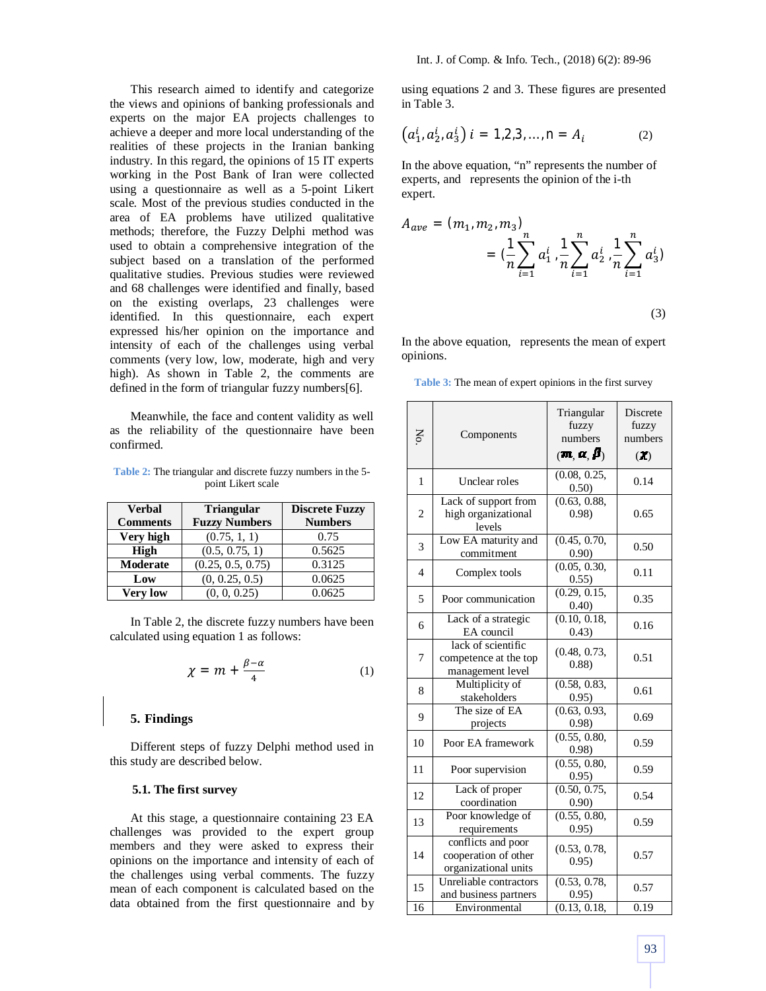This research aimed to identify and categorize the views and opinions of banking professionals and experts on the major EA projects challenges to achieve a deeper and more local understanding of the realities of these projects in the Iranian banking industry. In this regard, the opinions of 15 IT experts working in the Post Bank of Iran were collected using a questionnaire as well as a 5-point Likert scale. Most of the previous studies conducted in the area of EA problems have utilized qualitative methods; therefore, the Fuzzy Delphi method was used to obtain a comprehensive integration of the subject based on a translation of the performed qualitative studies. Previous studies were reviewed and 68 challenges were identified and finally, based on the existing overlaps, 23 challenges were identified. In this questionnaire, each expert expressed his/her opinion on the importance and intensity of each of the challenges using verbal comments (very low, low, moderate, high and very high). As shown in Table 2, the comments are defined in the form of triangular fuzzy numbers[6].

Meanwhile, the face and content validity as well as the reliability of the questionnaire have been confirmed.

**Table 2:** The triangular and discrete fuzzy numbers in the 5 point Likert scale

| <b>Verbal</b>   | <b>Triangular</b>    | <b>Discrete Fuzzy</b> |  |
|-----------------|----------------------|-----------------------|--|
| <b>Comments</b> | <b>Fuzzy Numbers</b> | <b>Numbers</b>        |  |
| Very high       | (0.75, 1, 1)         | 0.75                  |  |
| <b>High</b>     | (0.5, 0.75, 1)       | 0.5625                |  |
| Moderate        | (0.25, 0.5, 0.75)    | 0.3125                |  |
| Low             | (0, 0.25, 0.5)       | 0.0625                |  |
| <b>Very low</b> | (0, 0, 0.25)         | 0.0625                |  |

In Table 2, the discrete fuzzy numbers have been calculated using equation 1 as follows:

$$
\chi = m + \frac{\beta - \alpha}{4} \tag{1}
$$

## **5. Findings**

Different steps of fuzzy Delphi method used in this study are described below.

### **5.1. The first survey**

At this stage, a questionnaire containing 23 EA challenges was provided to the expert group members and they were asked to express their opinions on the importance and intensity of each of the challenges using verbal comments. The fuzzy mean of each component is calculated based on the data obtained from the first questionnaire and by using equations 2 and 3. These figures are presented in Table 3.

$$
(a_1^i, a_2^i, a_3^i) i = 1, 2, 3, ..., n = A_i
$$
 (2)

In the above equation, "n" represents the number of experts, and represents the opinion of the i-th expert.

$$
A_{ave} = (m_1, m_2, m_3)
$$
  
=  $(\frac{1}{n} \sum_{i=1}^n a_1^i, \frac{1}{n} \sum_{i=1}^n a_2^i, \frac{1}{n} \sum_{i=1}^n a_3^i)$  (3)

In the above equation, represents the mean of expert opinions.

**Table 3:** The mean of expert opinions in the first survey

| Σó              | Components                                                         | Triangular<br>fuzzy<br>numbers<br>$(\mathbf{m}, \mathbf{\alpha}, \mathbf{\beta})$ | Discrete<br>fuzzy<br>numbers<br>(1) |
|-----------------|--------------------------------------------------------------------|-----------------------------------------------------------------------------------|-------------------------------------|
| 1               | Unclear roles                                                      | (0.08, 0.25,<br>0.50)                                                             | 0.14                                |
| 2               | Lack of support from<br>high organizational<br>levels              | (0.63, 0.88,<br>0.98                                                              | 0.65                                |
| 3               | Low EA maturity and<br>commitment                                  | (0.45, 0.70,<br>0.90)                                                             | 0.50                                |
| 4               | Complex tools                                                      | (0.05, 0.30,<br>0.55)                                                             | 0.11                                |
| 5               | Poor communication                                                 | (0.29, 0.15,<br>0.40)                                                             | 0.35                                |
| 6               | Lack of a strategic<br>EA council                                  | (0.10, 0.18,<br>0.43)                                                             | 0.16                                |
| 7               | lack of scientific<br>competence at the top<br>management level    | (0.48, 0.73,<br>(0.88)                                                            | 0.51                                |
| 8               | Multiplicity of<br>stakeholders                                    | (0.58, 0.83,<br>0.95)                                                             | 0.61                                |
| 9               | The size of EA<br>projects                                         | (0.63, 0.93,<br>0.98)                                                             | 0.69                                |
| 10              | Poor EA framework                                                  | (0.55, 0.80,<br>0.98)                                                             | 0.59                                |
| 11              | Poor supervision                                                   | (0.55, 0.80,<br>0.95)                                                             | 0.59                                |
| 12              | Lack of proper<br>coordination                                     | (0.50, 0.75,<br>0.90)                                                             | 0.54                                |
| 13              | Poor knowledge of<br>requirements                                  | (0.55, 0.80,<br>0.95)                                                             | 0.59                                |
| 14              | conflicts and poor<br>cooperation of other<br>organizational units | (0.53, 0.78,<br>0.95)                                                             | 0.57                                |
| 15              | Unreliable contractors<br>and business partners                    | (0.53, 0.78,<br>0.95)                                                             | 0.57                                |
| $\overline{16}$ | Environmental                                                      | (0.13, 0.18,                                                                      | 0.19                                |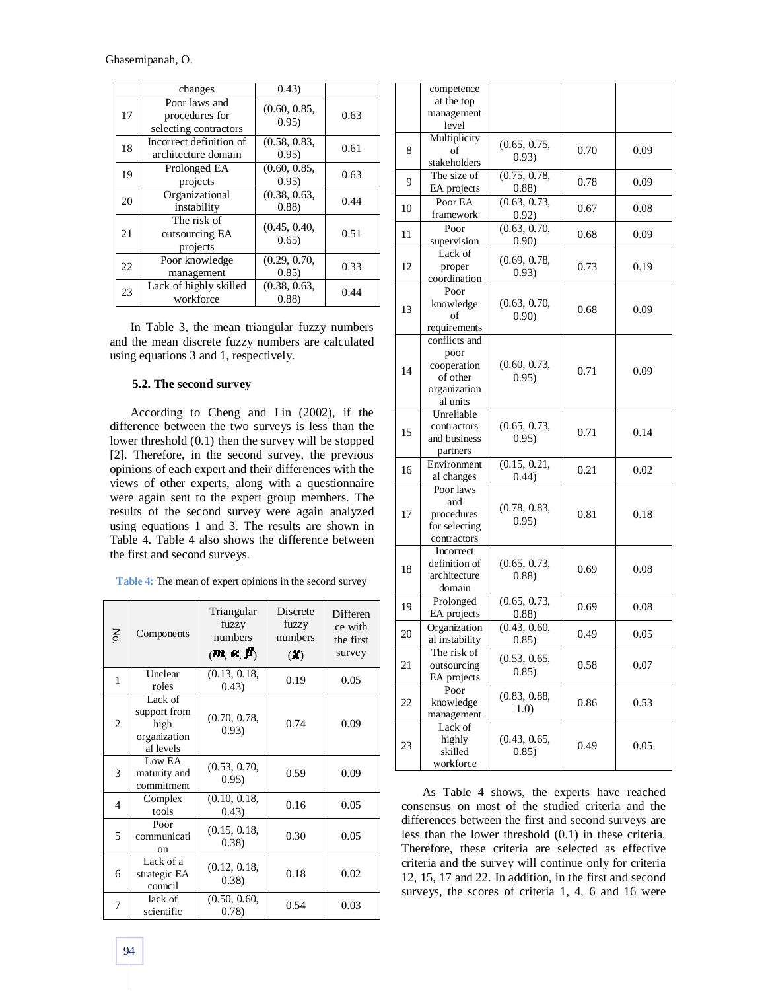Ghasemipanah, O.

|    | changes                                                  | (0.43)                 |      |
|----|----------------------------------------------------------|------------------------|------|
| 17 | Poor laws and<br>procedures for<br>selecting contractors | (0.60, 0.85,<br>0.95)  | 0.63 |
| 18 | Incorrect definition of<br>architecture domain           | (0.58, 0.83,<br>0.95)  | 0.61 |
| 19 | Prolonged EA<br>projects                                 | (0.60, 0.85,<br>0.95)  | 0.63 |
| 20 | Organizational<br>instability                            | (0.38, 0.63,<br>(0.88) | 0.44 |
| 21 | The risk of<br>outsourcing EA<br>projects                | (0.45, 0.40,<br>0.65)  | 0.51 |
| 22 | Poor knowledge<br>management                             | (0.29, 0.70,<br>0.85)  | 0.33 |
| 23 | Lack of highly skilled<br>workforce                      | (0.38, 0.63,<br>(0.88) | 0.44 |

In Table 3, the mean triangular fuzzy numbers and the mean discrete fuzzy numbers are calculated using equations 3 and 1, respectively.

## **5.2. The second survey**

According to Cheng and Lin (2002), if the difference between the two surveys is less than the lower threshold (0.1) then the survey will be stopped [2]. Therefore, in the second survey, the previous opinions of each expert and their differences with the views of other experts, along with a questionnaire were again sent to the expert group members. The results of the second survey were again analyzed using equations 1 and 3. The results are shown in Table 4. Table 4 also shows the difference between the first and second surveys.

| Table 4: The mean of expert opinions in the second survey |  |  |
|-----------------------------------------------------------|--|--|
|-----------------------------------------------------------|--|--|

| $\mathop{\mathsf{S}}$ | Components                                                   | Triangular<br>fuzzy<br>numbers<br>$(\mathbf{m}, \mathbf{\alpha}, \mathbf{\beta})$ | Discrete<br>fuzzy<br>numbers<br>$\left( X\right)$ | Differen<br>ce with<br>the first<br>survey |
|-----------------------|--------------------------------------------------------------|-----------------------------------------------------------------------------------|---------------------------------------------------|--------------------------------------------|
| 1                     | Unclear<br>roles                                             | (0.13, 0.18,<br>(0.43)                                                            | 0.19                                              | 0.05                                       |
| 2                     | Lack of<br>support from<br>high<br>organization<br>al levels | (0.70, 0.78,<br>0.93)                                                             | 0.74                                              | 0.09                                       |
| 3                     | Low EA<br>maturity and<br>commitment                         | (0.53, 0.70,<br>0.95)                                                             | 0.59                                              | 0.09                                       |
| 4                     | Complex<br>tools                                             | (0.10, 0.18,<br>(0.43)                                                            | 0.16                                              | 0.05                                       |
| 5                     | Poor<br>communicati<br>on                                    | (0.15, 0.18,<br>(0.38)                                                            | 0.30                                              | 0.05                                       |
| 6                     | Lack of a<br>strategic EA<br>council                         | (0.12, 0.18,<br>(0.38)                                                            | 0.18                                              | 0.02                                       |
| 7                     | lack of<br>scientific                                        | (0.50, 0.60,<br>0.78                                                              | 0.54                                              | 0.03                                       |

|    | competence               |              |      |      |  |
|----|--------------------------|--------------|------|------|--|
|    | at the top               |              |      |      |  |
|    | management               |              |      |      |  |
|    | level                    |              |      |      |  |
|    | Multiplicity             | (0.65, 0.75, |      |      |  |
| 8  | of                       | 0.93)        | 0.70 | 0.09 |  |
|    | stakeholders             |              |      |      |  |
| 9  | The size of              | (0.75, 0.78, | 0.78 | 0.09 |  |
|    | EA projects              | (0.88)       |      |      |  |
| 10 | Poor EA                  | (0.63, 0.73, | 0.67 | 0.08 |  |
|    | framework                | 0.92)        |      |      |  |
| 11 | Poor                     | (0.63, 0.70, | 0.68 | 0.09 |  |
|    | supervision              | 0.90)        |      |      |  |
|    | Lack of                  | (0.69, 0.78, |      |      |  |
| 12 | proper                   | 0.93)        | 0.73 | 0.19 |  |
|    | coordination             |              |      |      |  |
|    | Poor                     |              |      |      |  |
| 13 | knowledge                | (0.63, 0.70, | 0.68 | 0.09 |  |
|    | of                       | 0.90)        |      |      |  |
|    | requirements             |              |      |      |  |
|    | conflicts and            |              |      |      |  |
|    | poor                     |              |      |      |  |
| 14 | cooperation              | (0.60, 0.73, | 0.71 | 0.09 |  |
|    | of other                 | 0.95)        |      |      |  |
|    | organization<br>al units |              |      |      |  |
|    | Unreliable               |              |      |      |  |
|    | contractors              | (0.65, 0.73, |      |      |  |
| 15 | and business             | 0.95)        | 0.71 | 0.14 |  |
|    | partners                 |              |      |      |  |
|    | Environment              | (0.15, 0.21, |      |      |  |
| 16 | al changes               | (0.44)       | 0.21 | 0.02 |  |
|    | Poor laws                |              |      |      |  |
|    | and                      |              |      |      |  |
| 17 | procedures               | (0.78, 0.83, | 0.81 | 0.18 |  |
|    | for selecting            | 0.95)        |      |      |  |
|    | contractors              |              |      |      |  |
|    | Incorrect                |              |      |      |  |
| 18 | definition of            | (0.65, 0.73, | 0.69 | 0.08 |  |
|    | architecture             | (0.88)       |      |      |  |
|    | domain                   |              |      |      |  |
| 19 | Prolonged                | (0.65, 0.73, | 0.69 | 0.08 |  |
|    | EA projects              | (0.88)       |      |      |  |
| 20 | Organization             | (0.43, 0.60, | 0.49 | 0.05 |  |
|    | al instability           | 0.85)        |      |      |  |
| 21 | The risk of              | (0.53, 0.65, |      |      |  |
|    | outsourcing              | 0.85)        | 0.58 | 0.07 |  |
|    | EA projects<br>Poor      |              |      |      |  |
| 22 | knowledge                | (0.83, 0.88, | 0.86 | 0.53 |  |
|    | management               | 1.0)         |      |      |  |
|    | Lack of                  |              |      |      |  |
| 23 | highly                   | (0.43, 0.65, |      |      |  |
|    | skilled                  | 0.85)        | 0.49 | 0.05 |  |
|    | workforce                |              |      |      |  |
|    |                          |              |      |      |  |

As Table 4 shows, the experts have reached consensus on most of the studied criteria and the differences between the first and second surveys are less than the lower threshold (0.1) in these criteria. Therefore, these criteria are selected as effective criteria and the survey will continue only for criteria 12, 15, 17 and 22. In addition, in the first and second surveys, the scores of criteria 1, 4, 6 and 16 were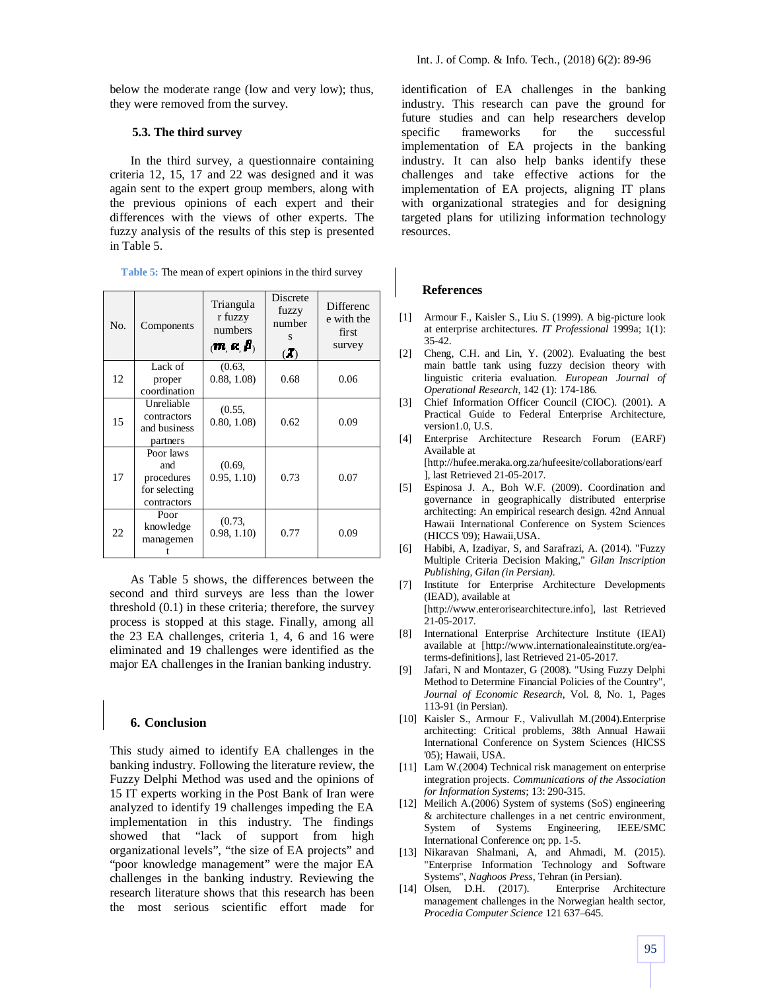below the moderate range (low and very low); thus, they were removed from the survey.

## **5.3. The third survey**

In the third survey, a questionnaire containing criteria 12, 15, 17 and 22 was designed and it was again sent to the expert group members, along with the previous opinions of each expert and their differences with the views of other experts. The fuzzy analysis of the results of this step is presented in Table 5.

| Table 5: The mean of expert opinions in the third survey |  |  |  |
|----------------------------------------------------------|--|--|--|
|                                                          |  |  |  |

| N <sub>O</sub> | Components                                                     | Triangula<br>r fuzzy<br>numbers<br>$\langle \mathbf{m}, \mathbf{\alpha}, \mathbf{\beta} \rangle$ | Discrete<br>fuzzy<br>number<br>S<br>(1) | Differenc<br>e with the<br>first<br>survey |
|----------------|----------------------------------------------------------------|--------------------------------------------------------------------------------------------------|-----------------------------------------|--------------------------------------------|
| 12             | Lack of<br>proper<br>coordination                              | (0.63,<br>0.88, 1.08                                                                             | 0.68                                    | 0.06                                       |
| 15             | Unreliable<br>contractors<br>and business<br>partners          | (0.55,<br>0.80, 1.08                                                                             | 0.62                                    | 0.09                                       |
| 17             | Poor laws<br>and<br>procedures<br>for selecting<br>contractors | (0.69,<br>0.95, 1.10                                                                             | 0.73                                    | 0.07                                       |
| 22             | Poor<br>knowledge<br>managemen                                 | (0.73,<br>0.98, 1.10                                                                             | 0.77                                    | 0.09                                       |

As Table 5 shows, the differences between the second and third surveys are less than the lower threshold (0.1) in these criteria; therefore, the survey process is stopped at this stage. Finally, among all the 23 EA challenges, criteria 1, 4, 6 and 16 were eliminated and 19 challenges were identified as the major EA challenges in the Iranian banking industry.

#### **6. Conclusion**

This study aimed to identify EA challenges in the banking industry. Following the literature review, the Fuzzy Delphi Method was used and the opinions of 15 IT experts working in the Post Bank of Iran were analyzed to identify 19 challenges impeding the EA implementation in this industry. The findings showed that "lack of support from high organizational levels", "the size of EA projects" and "poor knowledge management" were the major EA challenges in the banking industry. Reviewing the research literature shows that this research has been the most serious scientific effort made for

identification of EA challenges in the banking industry. This research can pave the ground for future studies and can help researchers develop specific frameworks for the successful implementation of EA projects in the banking industry. It can also help banks identify these challenges and take effective actions for the implementation of EA projects, aligning IT plans with organizational strategies and for designing targeted plans for utilizing information technology resources.

#### **References**

- [1] Armour F., Kaisler S., Liu S. (1999). A big-picture look at enterprise architectures. *IT Professional* 1999a; 1(1): 35-42.
- [2] Cheng, C.H. and Lin, Y. (2002). Evaluating the best main battle tank using fuzzy decision theory with linguistic criteria evaluation. *European Journal of Operational Research*, 142 (1): 174-186.
- [3] Chief Information Officer Council (CIOC). (2001). A Practical Guide to Federal Enterprise Architecture, version1.0, U.S.
- [4] Enterprise Architecture Research Forum (EARF) Available at [http://hufee.meraka.org.za/hufeesite/collaborations/earf

], last Retrieved 21-05-2017.

- [5] Espinosa J. A., Boh W.F. (2009). Coordination and governance in geographically distributed enterprise architecting: An empirical research design. 42nd Annual Hawaii International Conference on System Sciences (HICCS '09); Hawaii,USA.
- [6] Habibi, A, Izadiyar, S, and Sarafrazi, A. (2014). "Fuzzy Multiple Criteria Decision Making," *Gilan Inscription Publishing, Gilan (in Persian).*
- [7] Institute for Enterprise Architecture Developments (IEAD), available at [http://www.enterorisearchitecture.info], last Retrieved 21-05-2017.
- [8] International Enterprise Architecture Institute (IEAI) available at [http://www.internationaleainstitute.org/eaterms-definitions], last Retrieved 21-05-2017.
- [9] Jafari, N and Montazer, G (2008). "Using Fuzzy Delphi Method to Determine Financial Policies of the Country", *Journal of Economic Research*, Vol. 8, No. 1, Pages 113-91 (in Persian).
- [10] Kaisler S., Armour F., Valivullah M.(2004).Enterprise architecting: Critical problems, 38th Annual Hawaii International Conference on System Sciences (HICSS '05); Hawaii, USA.
- [11] Lam W.(2004) Technical risk management on enterprise integration projects. *Communications of the Association for Information Systems*; 13: 290-315.
- [12] Meilich A.(2006) System of systems (SoS) engineering & architecture challenges in a net centric environment, System of Systems Engineering, IEEE/SMC International Conference on; pp. 1-5.
- [13] Nikaravan Shalmani, A, and Ahmadi, M. (2015). "Enterprise Information Technology and Software Systems", *Naghoos Press*, Tehran (in Persian).
- [14] Olsen, D.H. (2017). Enterprise Architecture management challenges in the Norwegian health sector, *Procedia Computer Science* 121 637–645.